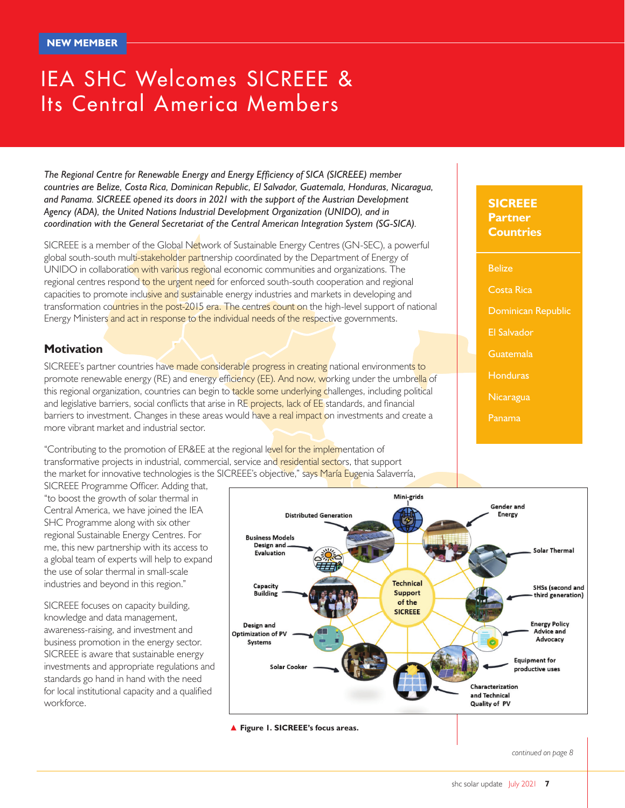# IEA SHC Welcomes SICREEE & Its Central America Members

*The Regional Centre for Renewable Energy and Energy Efficiency of SICA (SICREEE) member countries are Belize, Costa Rica, Dominican Republic, El Salvador, Guatemala, Honduras, Nicaragua, and Panama. SICREEE opened its doors in 2021 with the support of the Austrian Development Agency (ADA), the United Nations Industrial Development Organization (UNIDO), and in coordination with the General Secretariat of the Central American Integration System (SG-SICA).*

SICREEE is a member of the Global Network of Sustainable Energy Centres (GN-SEC), a powerful global south-south multi-stakeholder partnership coordinated by the Department of Energy of UNIDO in collaboration with various regional economic communities and organizations. The regional centres respond to the urgent need for enforced south-south cooperation and regional capacities to promote inclusive and sustainable energy industries and markets in developing and transformation countries in the post-2015 era. The centres count on the high-level support of national Energy Ministers and act in response to the individual needs of the respective governments.

### **Motivation**

SICREEE's partner countries have made considerable progress in creating national environments to promote renewable energy (RE) and energy efficiency (EE). And now, working under the umbrella of this regional organization, countries can begin to tackle some underlying challenges, including political and legislative barriers, social conflicts that arise in RE projects, lack of EE standards, and financial barriers to investment. Changes in these areas would have a real impact on investments and create a more vibrant market and industrial sector.

"Contributing to the promotion of ER&EE at the regional level for the implementation of transformative projects in industrial, commercial, service and residential sectors, that support the market for innovative technologies is the SICREEE's objective," says María Eugenia Salaverría,

SICREEE Programme Officer. Adding that, "to boost the growth of solar thermal in Central America, we have joined the IEA SHC Programme along with six other regional Sustainable Energy Centres. For me, this new partnership with its access to a global team of experts will help to expand the use of solar thermal in small-scale industries and beyond in this region."

SICREEE focuses on capacity building, knowledge and data management, awareness-raising, and investment and business promotion in the energy sector. SICREEE is aware that sustainable energy investments and appropriate regulations and standards go hand in hand with the need for local institutional capacity and a qualified workforce.



▲ **Figure 1. SICREEE's focus areas.**

**SICREEE Partner Countries**

Belize

Costa Rica

Dominican Republic

- El Salvador
- **Guatemala**
- **Honduras**
- Nicaragua
- Panama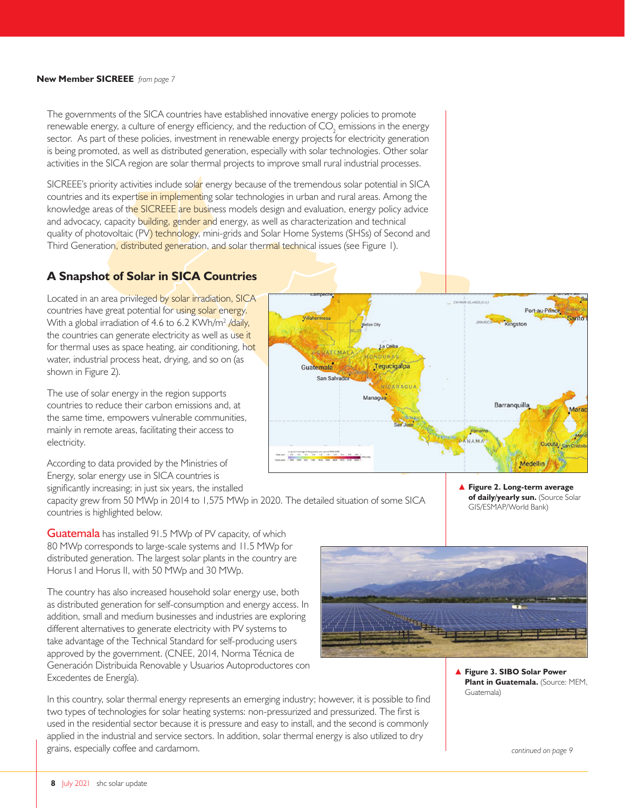#### **New Member SICREEE** *from page 7*

The governments of the SICA countries have established innovative energy policies to promote renewable energy, a culture of energy efficiency, and the reduction of  $\mathsf{CO}_2$  emissions in the energy sector. As part of these policies, investment in renewable energy projects for electricity generation is being promoted, as well as distributed generation, especially with solar technologies. Other solar activities in the SICA region are solar thermal projects to improve small rural industrial processes.

SICREEE's priority activities include solar energy because of the tremendous solar potential in SICA countries and its expertise in implementing solar technologies in urban and rural areas. Among the knowledge areas of the SICREEE are business models design and evaluation, energy policy advice and advocacy, capacity building, gender and energy, as well as characterization and technical quality of photovoltaic (PV) technology, mini-grids and Solar Home Systems (SHSs) of Second and Third Generation, distributed generation, and solar thermal technical issues (see Figure 1).

# **A Snapshot of Solar in SICA Countries**

Located in an area privileged by solar irradiation, SICA countries have great potential for using solar energy. With a global irradiation of 4.6 to 6.2 KWh/m<sup>2</sup> /daily, the countries can generate electricity as well as use it for thermal uses as space heating, air conditioning, hot water, industrial process heat, drying, and so on (as shown in Figure 2).

The use of solar energy in the region supports countries to reduce their carbon emissions and, at the same time, empowers vulnerable communities, mainly in remote areas, facilitating their access to electricity.

According to data provided by the Ministries of Energy, solar energy use in SICA countries is significantly increasing; in just six years, the installed

capacity grew from 50 MWp in 2014 to 1,575 MWp in 2020. The detailed situation of some SICA countries is highlighted below.

Guatemala has installed 91.5 MWp of PV capacity, of which 80 MWp corresponds to large-scale systems and 11.5 MWp for distributed generation. The largest solar plants in the country are Horus I and Horus II, with 50 MWp and 30 MWp.

The country has also increased household solar energy use, both as distributed generation for self-consumption and energy access. In addition, small and medium businesses and industries are exploring different alternatives to generate electricity with PV systems to take advantage of the Technical Standard for self-producing users approved by the government. (CNEE, 2014, Norma Técnica de Generación Distribuida Renovable y Usuarios Autoproductores con Excedentes de Energía).





▲ **Figure 2. Long-term average**  of daily/yearly sun. (Source Solar GIS/ESMAP/World Bank)



▲ **Figure 3. SIBO Solar Power Plant in Guatemala.** (Source: MEM, Guatemala)

*continued on page 9*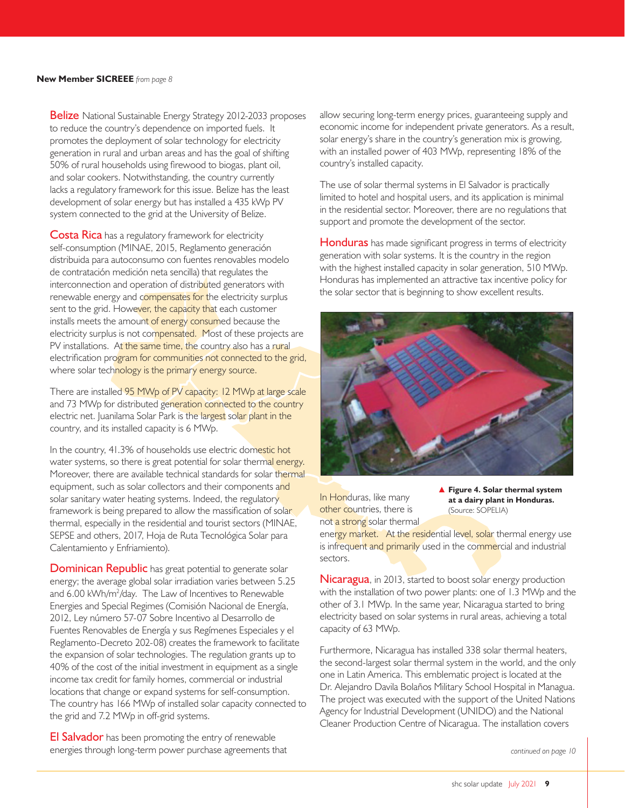**Belize** National Sustainable Energy Strategy 2012-2033 proposes to reduce the country's dependence on imported fuels. It promotes the deployment of solar technology for electricity generation in rural and urban areas and has the goal of shifting 50% of rural households using firewood to biogas, plant oil, and solar cookers. Notwithstanding, the country currently lacks a regulatory framework for this issue. Belize has the least development of solar energy but has installed a 435 kWp PV system connected to the grid at the University of Belize.

Costa Rica has a regulatory framework for electricity self-consumption (MINAE, 2015, Reglamento generación distribuida para autoconsumo con fuentes renovables modelo de contratación medición neta sencilla) that regulates the interconnection and operation of distributed generators with renewable energy and compensates for the electricity surplus sent to the grid. However, the capacity that each customer installs meets the amount of energy consumed because the electricity surplus is not compensated. Most of these projects are PV installations. At the same time, the country also has a rural electrification program for communities not connected to the grid, where solar technology is the primary energy source.

There are installed 95 MWp of PV capacity: 12 MWp at large scale and 73 MWp for distributed generation connected to the country electric net. Juanilama Solar Park is the largest solar plant in the country, and its installed capacity is 6 MWp.

In the country, 41.3% of households use electric domestic hot water systems, so there is great potential for solar thermal energy. Moreover, there are available technical standards for solar thermal equipment, such as solar collectors and their components and solar sanitary water heating systems. Indeed, the regulatory framework is being prepared to allow the massification of solar thermal, especially in the residential and tourist sectors (MINAE, SEPSE and others, 2017, Hoja de Ruta Tecnológica Solar para Calentamiento y Enfriamiento).

**Dominican Republic** has great potential to generate solar energy; the average global solar irradiation varies between 5.25 and 6.00 kWh/m2 /day. The Law of Incentives to Renewable Energies and Special Regimes (Comisión Nacional de Energía, 2012, Ley número 57-07 Sobre Incentivo al Desarrollo de Fuentes Renovables de Energía y sus Regímenes Especiales y el Reglamento-Decreto 202-08) creates the framework to facilitate the expansion of solar technologies. The regulation grants up to 40% of the cost of the initial investment in equipment as a single income tax credit for family homes, commercial or industrial locations that change or expand systems for self-consumption. The country has 166 MWp of installed solar capacity connected to the grid and 7.2 MWp in off-grid systems.

**El Salvador** has been promoting the entry of renewable energies through long-term power purchase agreements that allow securing long-term energy prices, guaranteeing supply and economic income for independent private generators. As a result, solar energy's share in the country's generation mix is growing, with an installed power of 403 MWp, representing 18% of the country's installed capacity.

The use of solar thermal systems in El Salvador is practically limited to hotel and hospital users, and its application is minimal in the residential sector. Moreover, there are no regulations that support and promote the development of the sector.

**Honduras** has made significant progress in terms of electricity generation with solar systems. It is the country in the region with the highest installed capacity in solar generation, 510 MWp. Honduras has implemented an attractive tax incentive policy for the solar sector that is beginning to show excellent results.



In Honduras, like many other countries, there is not a strong solar thermal ▲ **Figure 4. Solar thermal system at a dairy plant in Honduras.**  (Source: SOPELIA)

energy market. At the residential level, solar thermal energy use is infrequent and primarily used in the commercial and industrial sectors.

Nicaragua, in 2013, started to boost solar energy production with the installation of two power plants: one of 1.3 MWp and the other of 3.1 MWp. In the same year, Nicaragua started to bring electricity based on solar systems in rural areas, achieving a total capacity of 63 MWp.

Furthermore, Nicaragua has installed 338 solar thermal heaters, the second-largest solar thermal system in the world, and the only one in Latin America. This emblematic project is located at the Dr. Alejandro Davila Bolaños Military School Hospital in Managua. The project was executed with the support of the United Nations Agency for Industrial Development (UNIDO) and the National Cleaner Production Centre of Nicaragua. The installation covers